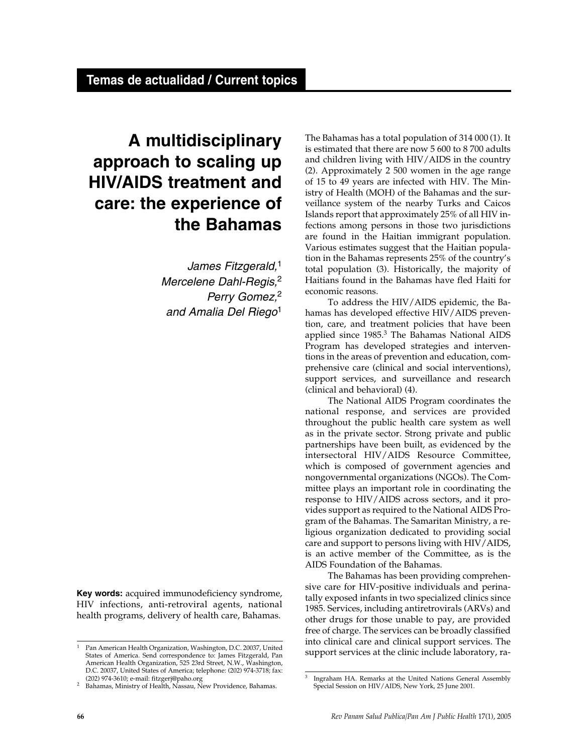# **A multidisciplinary approach to scaling up HIV/AIDS treatment and care: the experience of the Bahamas**

*James Fitzgerald,*<sup>1</sup> *Mercelene Dahl-Regis,*<sup>2</sup> *Perry Gomez,*<sup>2</sup> *and Amalia Del Riego*<sup>1</sup>

**Key words:** acquired immunodeficiency syndrome, HIV infections, anti-retroviral agents, national health programs, delivery of health care, Bahamas.

The Bahamas has a total population of 314 000 (1). It is estimated that there are now 5 600 to 8 700 adults and children living with HIV/AIDS in the country (2). Approximately 2 500 women in the age range of 15 to 49 years are infected with HIV. The Ministry of Health (MOH) of the Bahamas and the surveillance system of the nearby Turks and Caicos Islands report that approximately 25% of all HIV infections among persons in those two jurisdictions are found in the Haitian immigrant population. Various estimates suggest that the Haitian population in the Bahamas represents 25% of the country's total population (3). Historically, the majority of Haitians found in the Bahamas have fled Haiti for economic reasons.

To address the HIV/AIDS epidemic, the Bahamas has developed effective HIV/AIDS prevention, care, and treatment policies that have been applied since 1985.<sup>3</sup> The Bahamas National AIDS Program has developed strategies and interventions in the areas of prevention and education, comprehensive care (clinical and social interventions), support services, and surveillance and research (clinical and behavioral) (4).

The National AIDS Program coordinates the national response, and services are provided throughout the public health care system as well as in the private sector. Strong private and public partnerships have been built, as evidenced by the intersectoral HIV/AIDS Resource Committee, which is composed of government agencies and nongovernmental organizations (NGOs). The Committee plays an important role in coordinating the response to HIV/AIDS across sectors, and it provides support as required to the National AIDS Program of the Bahamas. The Samaritan Ministry, a religious organization dedicated to providing social care and support to persons living with HIV/AIDS, is an active member of the Committee, as is the AIDS Foundation of the Bahamas.

The Bahamas has been providing comprehensive care for HIV-positive individuals and perinatally exposed infants in two specialized clinics since 1985. Services, including antiretrovirals (ARVs) and other drugs for those unable to pay, are provided free of charge. The services can be broadly classified into clinical care and clinical support services. The support services at the clinic include laboratory, ra-

<sup>1</sup> Pan American Health Organization, Washington, D.C. 20037, United States of America. Send correspondence to: James Fitzgerald, Pan American Health Organization, 525 23rd Street, N.W., Washington, D.C. 20037, United States of America; telephone: (202) 974-3718; fax: (202) 974-3610; e-mail: fitzgerj@paho.org

<sup>&</sup>lt;sup>2</sup> Bahamas, Ministry of Health, Nassau, New Providence, Bahamas.

Ingraham HA. Remarks at the United Nations General Assembly Special Session on HIV/AIDS, New York, 25 June 2001.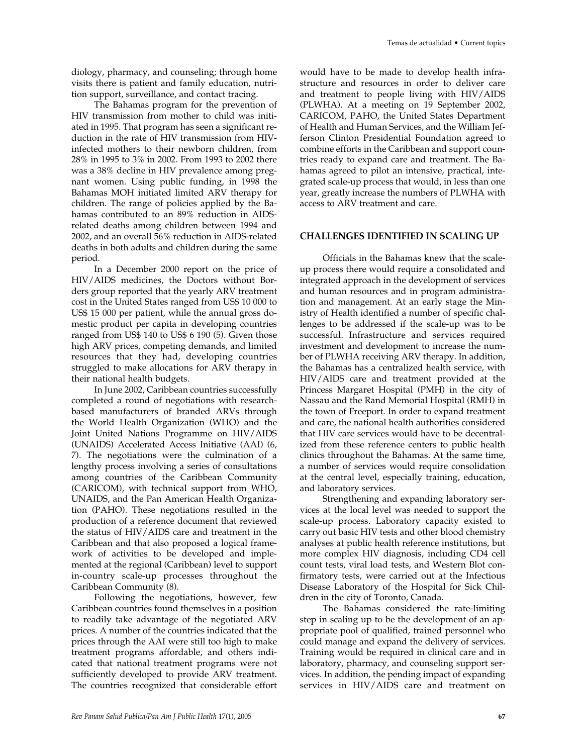diology, pharmacy, and counseling; through home visits there is patient and family education, nutrition support, surveillance, and contact tracing.

The Bahamas program for the prevention of HIV transmission from mother to child was initiated in 1995. That program has seen a significant reduction in the rate of HIV transmission from HIVinfected mothers to their newborn children, from 28% in 1995 to 3% in 2002. From 1993 to 2002 there was a 38% decline in HIV prevalence among pregnant women. Using public funding, in 1998 the Bahamas MOH initiated limited ARV therapy for children. The range of policies applied by the Bahamas contributed to an 89% reduction in AIDSrelated deaths among children between 1994 and 2002, and an overall 56% reduction in AIDS-related deaths in both adults and children during the same period.

In a December 2000 report on the price of HIV/AIDS medicines, the Doctors without Borders group reported that the yearly ARV treatment cost in the United States ranged from US\$ 10 000 to US\$ 15 000 per patient, while the annual gross domestic product per capita in developing countries ranged from US\$ 140 to US\$ 6 190 (5). Given those high ARV prices, competing demands, and limited resources that they had, developing countries struggled to make allocations for ARV therapy in their national health budgets.

In June 2002, Caribbean countries successfully completed a round of negotiations with researchbased manufacturers of branded ARVs through the World Health Organization (WHO) and the Joint United Nations Programme on HIV/AIDS (UNAIDS) Accelerated Access Initiative (AAI) (6, 7). The negotiations were the culmination of a lengthy process involving a series of consultations among countries of the Caribbean Community (CARICOM), with technical support from WHO, UNAIDS, and the Pan American Health Organization (PAHO). These negotiations resulted in the production of a reference document that reviewed the status of HIV/AIDS care and treatment in the Caribbean and that also proposed a logical framework of activities to be developed and implemented at the regional (Caribbean) level to support in-country scale-up processes throughout the Caribbean Community (8).

Following the negotiations, however, few Caribbean countries found themselves in a position to readily take advantage of the negotiated ARV prices. A number of the countries indicated that the prices through the AAI were still too high to make treatment programs affordable, and others indicated that national treatment programs were not sufficiently developed to provide ARV treatment. The countries recognized that considerable effort would have to be made to develop health infrastructure and resources in order to deliver care and treatment to people living with HIV/AIDS (PLWHA). At a meeting on 19 September 2002, CARICOM, PAHO, the United States Department of Health and Human Services, and the William Jefferson Clinton Presidential Foundation agreed to combine efforts in the Caribbean and support countries ready to expand care and treatment. The Bahamas agreed to pilot an intensive, practical, integrated scale-up process that would, in less than one year, greatly increase the numbers of PLWHA with access to ARV treatment and care.

## **CHALLENGES IDENTIFIED IN SCALING UP**

Officials in the Bahamas knew that the scaleup process there would require a consolidated and integrated approach in the development of services and human resources and in program administration and management. At an early stage the Ministry of Health identified a number of specific challenges to be addressed if the scale-up was to be successful. Infrastructure and services required investment and development to increase the number of PLWHA receiving ARV therapy. In addition, the Bahamas has a centralized health service, with HIV/AIDS care and treatment provided at the Princess Margaret Hospital (PMH) in the city of Nassau and the Rand Memorial Hospital (RMH) in the town of Freeport. In order to expand treatment and care, the national health authorities considered that HIV care services would have to be decentralized from these reference centers to public health clinics throughout the Bahamas. At the same time, a number of services would require consolidation at the central level, especially training, education, and laboratory services.

Strengthening and expanding laboratory services at the local level was needed to support the scale-up process. Laboratory capacity existed to carry out basic HIV tests and other blood chemistry analyses at public health reference institutions, but more complex HIV diagnosis, including CD4 cell count tests, viral load tests, and Western Blot confirmatory tests, were carried out at the Infectious Disease Laboratory of the Hospital for Sick Children in the city of Toronto, Canada.

The Bahamas considered the rate-limiting step in scaling up to be the development of an appropriate pool of qualified, trained personnel who could manage and expand the delivery of services. Training would be required in clinical care and in laboratory, pharmacy, and counseling support services. In addition, the pending impact of expanding services in HIV/AIDS care and treatment on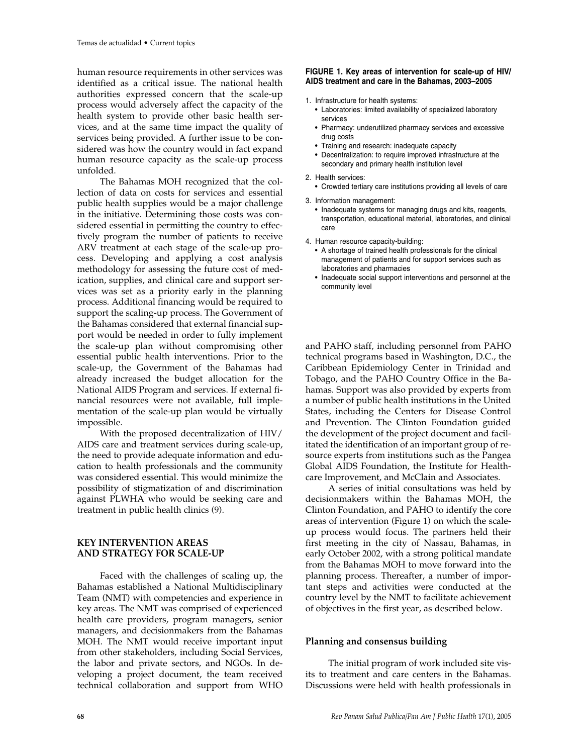human resource requirements in other services was identified as a critical issue. The national health authorities expressed concern that the scale-up process would adversely affect the capacity of the health system to provide other basic health services, and at the same time impact the quality of services being provided. A further issue to be considered was how the country would in fact expand human resource capacity as the scale-up process unfolded.

The Bahamas MOH recognized that the collection of data on costs for services and essential public health supplies would be a major challenge in the initiative. Determining those costs was considered essential in permitting the country to effectively program the number of patients to receive ARV treatment at each stage of the scale-up process. Developing and applying a cost analysis methodology for assessing the future cost of medication, supplies, and clinical care and support services was set as a priority early in the planning process. Additional financing would be required to support the scaling-up process. The Government of the Bahamas considered that external financial support would be needed in order to fully implement the scale-up plan without compromising other essential public health interventions. Prior to the scale-up, the Government of the Bahamas had already increased the budget allocation for the National AIDS Program and services. If external financial resources were not available, full implementation of the scale-up plan would be virtually impossible.

With the proposed decentralization of HIV/ AIDS care and treatment services during scale-up, the need to provide adequate information and education to health professionals and the community was considered essential. This would minimize the possibility of stigmatization of and discrimination against PLWHA who would be seeking care and treatment in public health clinics (9).

# **KEY INTERVENTION AREAS AND STRATEGY FOR SCALE-UP**

Faced with the challenges of scaling up, the Bahamas established a National Multidisciplinary Team (NMT) with competencies and experience in key areas. The NMT was comprised of experienced health care providers, program managers, senior managers, and decisionmakers from the Bahamas MOH. The NMT would receive important input from other stakeholders, including Social Services, the labor and private sectors, and NGOs. In developing a project document, the team received technical collaboration and support from WHO

#### **FIGURE 1. Key areas of intervention for scale-up of HIV/ AIDS treatment and care in the Bahamas, 2003–2005**

- 1. Infrastructure for health systems:
	- Laboratories: limited availability of specialized laboratory services
	- Pharmacy: underutilized pharmacy services and excessive drug costs
	- Training and research: inadequate capacity
	- Decentralization: to require improved infrastructure at the secondary and primary health institution level
- 2. Health services:
	- Crowded tertiary care institutions providing all levels of care
- 3. Information management:
	- Inadequate systems for managing drugs and kits, reagents, transportation, educational material, laboratories, and clinical care
- 4. Human resource capacity-building:
	- A shortage of trained health professionals for the clinical management of patients and for support services such as laboratories and pharmacies
	- Inadequate social support interventions and personnel at the community level

and PAHO staff, including personnel from PAHO technical programs based in Washington, D.C., the Caribbean Epidemiology Center in Trinidad and Tobago, and the PAHO Country Office in the Bahamas. Support was also provided by experts from a number of public health institutions in the United States, including the Centers for Disease Control and Prevention. The Clinton Foundation guided the development of the project document and facilitated the identification of an important group of resource experts from institutions such as the Pangea Global AIDS Foundation, the Institute for Healthcare Improvement, and McClain and Associates.

A series of initial consultations was held by decisionmakers within the Bahamas MOH, the Clinton Foundation, and PAHO to identify the core areas of intervention (Figure 1) on which the scaleup process would focus. The partners held their first meeting in the city of Nassau, Bahamas, in early October 2002, with a strong political mandate from the Bahamas MOH to move forward into the planning process. Thereafter, a number of important steps and activities were conducted at the country level by the NMT to facilitate achievement of objectives in the first year, as described below.

### **Planning and consensus building**

The initial program of work included site visits to treatment and care centers in the Bahamas. Discussions were held with health professionals in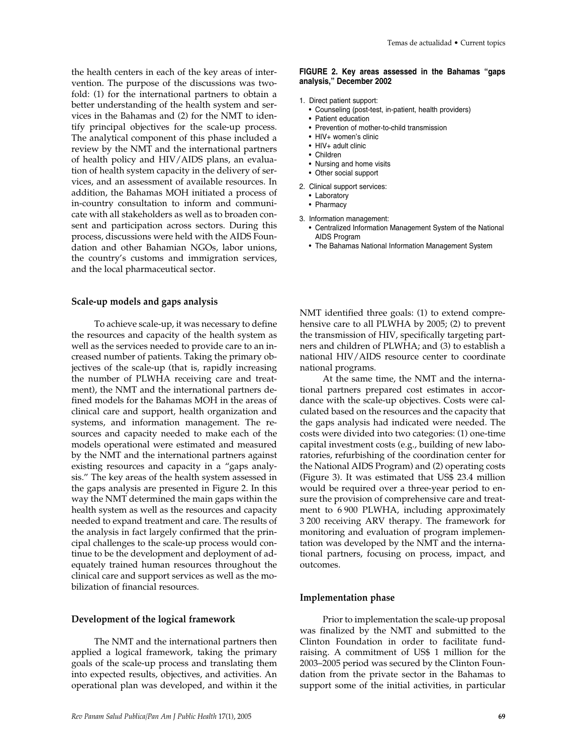the health centers in each of the key areas of intervention. The purpose of the discussions was twofold: (1) for the international partners to obtain a better understanding of the health system and services in the Bahamas and (2) for the NMT to identify principal objectives for the scale-up process. The analytical component of this phase included a review by the NMT and the international partners of health policy and HIV/AIDS plans, an evaluation of health system capacity in the delivery of services, and an assessment of available resources. In addition, the Bahamas MOH initiated a process of in-country consultation to inform and communicate with all stakeholders as well as to broaden consent and participation across sectors. During this process, discussions were held with the AIDS Foundation and other Bahamian NGOs, labor unions, the country's customs and immigration services, and the local pharmaceutical sector.

#### **Scale-up models and gaps analysis**

To achieve scale-up, it was necessary to define the resources and capacity of the health system as well as the services needed to provide care to an increased number of patients. Taking the primary objectives of the scale-up (that is, rapidly increasing the number of PLWHA receiving care and treatment), the NMT and the international partners defined models for the Bahamas MOH in the areas of clinical care and support, health organization and systems, and information management. The resources and capacity needed to make each of the models operational were estimated and measured by the NMT and the international partners against existing resources and capacity in a "gaps analysis." The key areas of the health system assessed in the gaps analysis are presented in Figure 2. In this way the NMT determined the main gaps within the health system as well as the resources and capacity needed to expand treatment and care. The results of the analysis in fact largely confirmed that the principal challenges to the scale-up process would continue to be the development and deployment of adequately trained human resources throughout the clinical care and support services as well as the mobilization of financial resources.

#### **Development of the logical framework**

The NMT and the international partners then applied a logical framework, taking the primary goals of the scale-up process and translating them into expected results, objectives, and activities. An operational plan was developed, and within it the

#### **FIGURE 2. Key areas assessed in the Bahamas "gaps analysis," December 2002**

- 1. Direct patient support:
	- Counseling (post-test, in-patient, health providers)
	- Patient education
	- Prevention of mother-to-child transmission
	- HIV+ women's clinic
	- HIV+ adult clinic
	- Children
	- Nursing and home visits
	- Other social support
- 2. Clinical support services:
	- Laboratory
	- Pharmacy
- 3. Information management:
	- Centralized Information Management System of the National AIDS Program
	- The Bahamas National Information Management System

NMT identified three goals: (1) to extend comprehensive care to all PLWHA by 2005; (2) to prevent the transmission of HIV, specifically targeting partners and children of PLWHA; and (3) to establish a national HIV/AIDS resource center to coordinate national programs.

At the same time, the NMT and the international partners prepared cost estimates in accordance with the scale-up objectives. Costs were calculated based on the resources and the capacity that the gaps analysis had indicated were needed. The costs were divided into two categories: (1) one-time capital investment costs (e.g., building of new laboratories, refurbishing of the coordination center for the National AIDS Program) and (2) operating costs (Figure 3). It was estimated that US\$ 23.4 million would be required over a three-year period to ensure the provision of comprehensive care and treatment to 6 900 PLWHA, including approximately 3 200 receiving ARV therapy. The framework for monitoring and evaluation of program implementation was developed by the NMT and the international partners, focusing on process, impact, and outcomes.

#### **Implementation phase**

Prior to implementation the scale-up proposal was finalized by the NMT and submitted to the Clinton Foundation in order to facilitate fundraising. A commitment of US\$ 1 million for the 2003–2005 period was secured by the Clinton Foundation from the private sector in the Bahamas to support some of the initial activities, in particular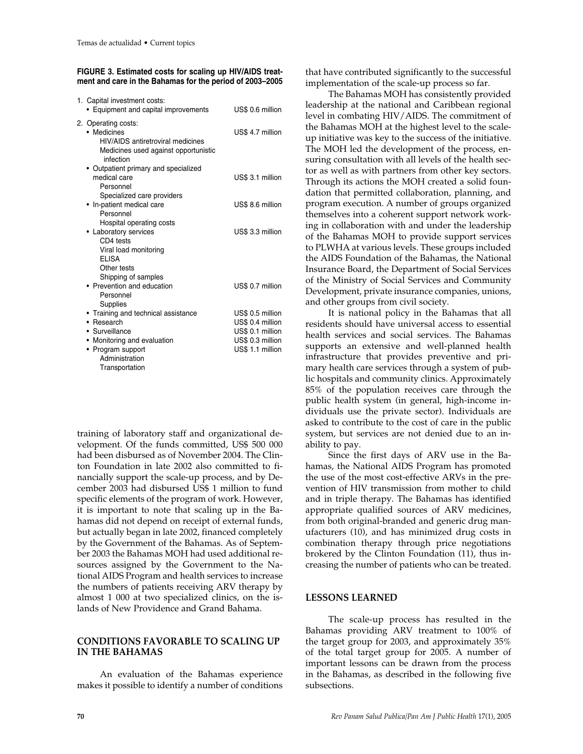| FIGURE 3. Estimated costs for scaling up HIV/AIDS treat- |  |
|----------------------------------------------------------|--|
| ment and care in the Bahamas for the period of 2003-2005 |  |

| 1. Capital investment costs:<br>• Equipment and capital improvements                                                                                                    | US\$ 0.6 million                                                                                 |
|-------------------------------------------------------------------------------------------------------------------------------------------------------------------------|--------------------------------------------------------------------------------------------------|
| 2. Operating costs:<br>• Medicines<br><b>HIV/AIDS</b> antiretroviral medicines<br>Medicines used against opportunistic<br>infection                                     | US\$ 4.7 million                                                                                 |
| • Outpatient primary and specialized<br>medical care<br>Personnel                                                                                                       | US\$ 3.1 million                                                                                 |
| Specialized care providers<br>• In-patient medical care<br>Personnel                                                                                                    | US\$ 8.6 million                                                                                 |
| Hospital operating costs<br>• Laboratory services<br>CD4 tests<br>Viral load monitoring<br>FI ISA                                                                       | US\$ 3.3 million                                                                                 |
| Other tests<br>Shipping of samples<br>• Prevention and education<br>Personnel                                                                                           | US\$ 0.7 million                                                                                 |
| Supplies<br>• Training and technical assistance<br>• Research<br>• Surveillance<br>• Monitoring and evaluation<br>• Program support<br>Administration<br>Transportation | US\$ 0.5 million<br>US\$ 0.4 million<br>US\$ 0.1 million<br>US\$ 0.3 million<br>US\$ 1.1 million |

training of laboratory staff and organizational development. Of the funds committed, US\$ 500 000 had been disbursed as of November 2004. The Clinton Foundation in late 2002 also committed to financially support the scale-up process, and by December 2003 had disbursed US\$ 1 million to fund specific elements of the program of work. However, it is important to note that scaling up in the Bahamas did not depend on receipt of external funds, but actually began in late 2002, financed completely by the Government of the Bahamas. As of September 2003 the Bahamas MOH had used additional resources assigned by the Government to the National AIDS Program and health services to increase the numbers of patients receiving ARV therapy by almost 1 000 at two specialized clinics, on the islands of New Providence and Grand Bahama.

# **CONDITIONS FAVORABLE TO SCALING UP IN THE BAHAMAS**

An evaluation of the Bahamas experience makes it possible to identify a number of conditions

that have contributed significantly to the successful implementation of the scale-up process so far.

The Bahamas MOH has consistently provided leadership at the national and Caribbean regional level in combating HIV/AIDS. The commitment of the Bahamas MOH at the highest level to the scaleup initiative was key to the success of the initiative. The MOH led the development of the process, ensuring consultation with all levels of the health sector as well as with partners from other key sectors. Through its actions the MOH created a solid foundation that permitted collaboration, planning, and program execution. A number of groups organized themselves into a coherent support network working in collaboration with and under the leadership of the Bahamas MOH to provide support services to PLWHA at various levels. These groups included the AIDS Foundation of the Bahamas, the National Insurance Board, the Department of Social Services of the Ministry of Social Services and Community Development, private insurance companies, unions, and other groups from civil society.

It is national policy in the Bahamas that all residents should have universal access to essential health services and social services. The Bahamas supports an extensive and well-planned health infrastructure that provides preventive and primary health care services through a system of public hospitals and community clinics. Approximately 85% of the population receives care through the public health system (in general, high-income individuals use the private sector). Individuals are asked to contribute to the cost of care in the public system, but services are not denied due to an inability to pay.

Since the first days of ARV use in the Bahamas, the National AIDS Program has promoted the use of the most cost-effective ARVs in the prevention of HIV transmission from mother to child and in triple therapy. The Bahamas has identified appropriate qualified sources of ARV medicines, from both original-branded and generic drug manufacturers (10), and has minimized drug costs in combination therapy through price negotiations brokered by the Clinton Foundation (11), thus increasing the number of patients who can be treated.

### **LESSONS LEARNED**

The scale-up process has resulted in the Bahamas providing ARV treatment to 100% of the target group for 2003, and approximately 35% of the total target group for 2005. A number of important lessons can be drawn from the process in the Bahamas, as described in the following five subsections.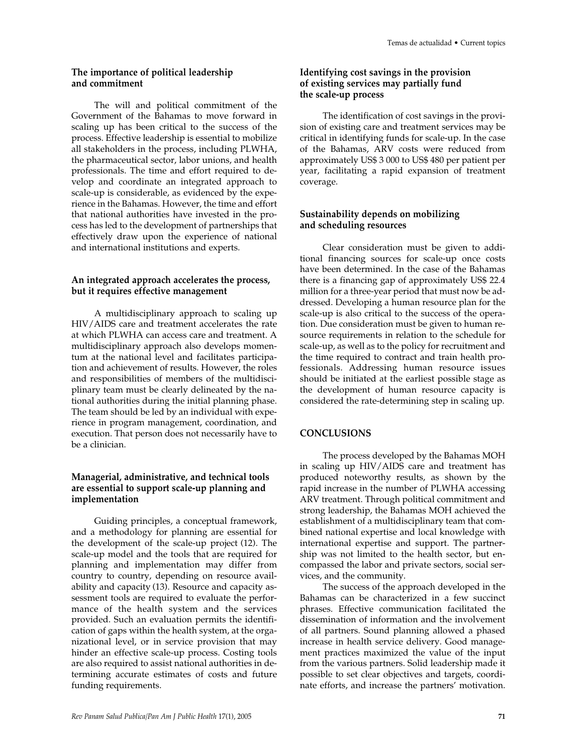#### **The importance of political leadership and commitment**

The will and political commitment of the Government of the Bahamas to move forward in scaling up has been critical to the success of the process. Effective leadership is essential to mobilize all stakeholders in the process, including PLWHA, the pharmaceutical sector, labor unions, and health professionals. The time and effort required to develop and coordinate an integrated approach to scale-up is considerable, as evidenced by the experience in the Bahamas. However, the time and effort that national authorities have invested in the process has led to the development of partnerships that effectively draw upon the experience of national and international institutions and experts.

## **An integrated approach accelerates the process, but it requires effective management**

A multidisciplinary approach to scaling up HIV/AIDS care and treatment accelerates the rate at which PLWHA can access care and treatment. A multidisciplinary approach also develops momentum at the national level and facilitates participation and achievement of results. However, the roles and responsibilities of members of the multidisciplinary team must be clearly delineated by the national authorities during the initial planning phase. The team should be led by an individual with experience in program management, coordination, and execution. That person does not necessarily have to be a clinician.

## **Managerial, administrative, and technical tools are essential to support scale-up planning and implementation**

Guiding principles, a conceptual framework, and a methodology for planning are essential for the development of the scale-up project (12). The scale-up model and the tools that are required for planning and implementation may differ from country to country, depending on resource availability and capacity (13). Resource and capacity assessment tools are required to evaluate the performance of the health system and the services provided. Such an evaluation permits the identification of gaps within the health system, at the organizational level, or in service provision that may hinder an effective scale-up process. Costing tools are also required to assist national authorities in determining accurate estimates of costs and future funding requirements.

# **Identifying cost savings in the provision of existing services may partially fund the scale-up process**

The identification of cost savings in the provision of existing care and treatment services may be critical in identifying funds for scale-up. In the case of the Bahamas, ARV costs were reduced from approximately US\$ 3 000 to US\$ 480 per patient per year, facilitating a rapid expansion of treatment coverage.

# **Sustainability depends on mobilizing and scheduling resources**

Clear consideration must be given to additional financing sources for scale-up once costs have been determined. In the case of the Bahamas there is a financing gap of approximately US\$ 22.4 million for a three-year period that must now be addressed. Developing a human resource plan for the scale-up is also critical to the success of the operation. Due consideration must be given to human resource requirements in relation to the schedule for scale-up, as well as to the policy for recruitment and the time required to contract and train health professionals. Addressing human resource issues should be initiated at the earliest possible stage as the development of human resource capacity is considered the rate-determining step in scaling up.

# **CONCLUSIONS**

The process developed by the Bahamas MOH in scaling up HIV/AIDS care and treatment has produced noteworthy results, as shown by the rapid increase in the number of PLWHA accessing ARV treatment. Through political commitment and strong leadership, the Bahamas MOH achieved the establishment of a multidisciplinary team that combined national expertise and local knowledge with international expertise and support. The partnership was not limited to the health sector, but encompassed the labor and private sectors, social services, and the community.

The success of the approach developed in the Bahamas can be characterized in a few succinct phrases. Effective communication facilitated the dissemination of information and the involvement of all partners. Sound planning allowed a phased increase in health service delivery. Good management practices maximized the value of the input from the various partners. Solid leadership made it possible to set clear objectives and targets, coordinate efforts, and increase the partners' motivation.